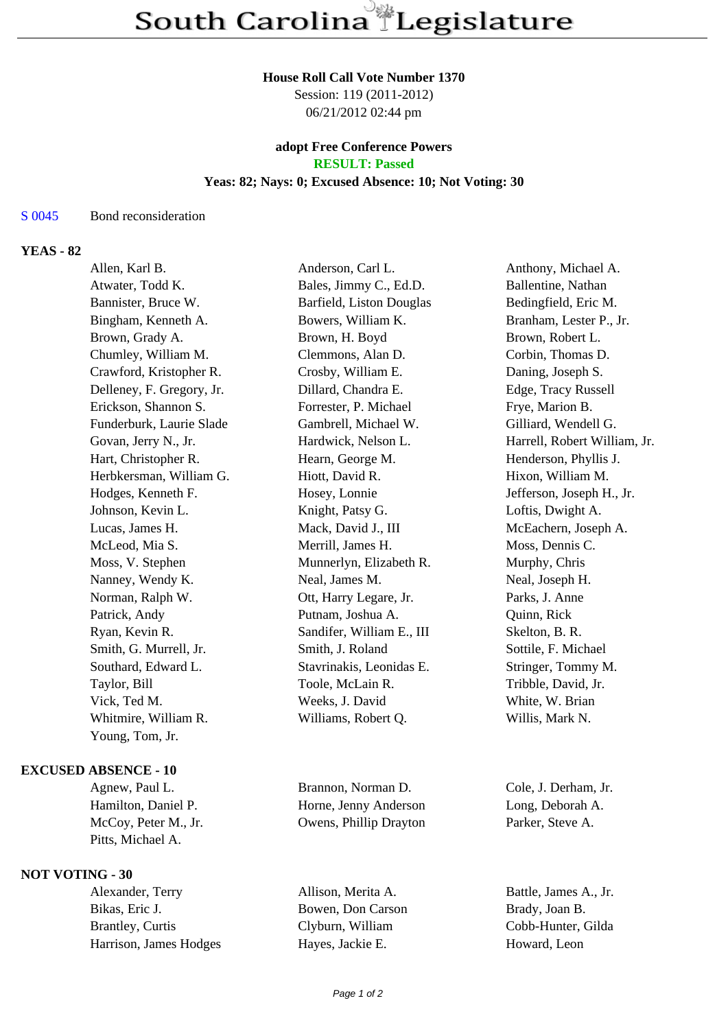### **House Roll Call Vote Number 1370**

Session: 119 (2011-2012) 06/21/2012 02:44 pm

### **adopt Free Conference Powers RESULT: Passed**

### **Yeas: 82; Nays: 0; Excused Absence: 10; Not Voting: 30**

## S 0045 Bond reconsideration

# **YEAS - 82**

| Allen, Karl B.            | Anderson, Carl L.         | Anthony, Michael A.          |
|---------------------------|---------------------------|------------------------------|
| Atwater, Todd K.          | Bales, Jimmy C., Ed.D.    | Ballentine, Nathan           |
| Bannister, Bruce W.       | Barfield, Liston Douglas  | Bedingfield, Eric M.         |
| Bingham, Kenneth A.       | Bowers, William K.        | Branham, Lester P., Jr.      |
| Brown, Grady A.           | Brown, H. Boyd            | Brown, Robert L.             |
| Chumley, William M.       | Clemmons, Alan D.         | Corbin, Thomas D.            |
| Crawford, Kristopher R.   | Crosby, William E.        | Daning, Joseph S.            |
| Delleney, F. Gregory, Jr. | Dillard, Chandra E.       | Edge, Tracy Russell          |
| Erickson, Shannon S.      | Forrester, P. Michael     | Frye, Marion B.              |
| Funderburk, Laurie Slade  | Gambrell, Michael W.      | Gilliard, Wendell G.         |
| Govan, Jerry N., Jr.      | Hardwick, Nelson L.       | Harrell, Robert William, Jr. |
| Hart, Christopher R.      | Hearn, George M.          | Henderson, Phyllis J.        |
| Herbkersman, William G.   | Hiott, David R.           | Hixon, William M.            |
| Hodges, Kenneth F.        | Hosey, Lonnie             | Jefferson, Joseph H., Jr.    |
| Johnson, Kevin L.         | Knight, Patsy G.          | Loftis, Dwight A.            |
| Lucas, James H.           | Mack, David J., III       | McEachern, Joseph A.         |
| McLeod, Mia S.            | Merrill, James H.         | Moss, Dennis C.              |
| Moss, V. Stephen          | Munnerlyn, Elizabeth R.   | Murphy, Chris                |
| Nanney, Wendy K.          | Neal, James M.            | Neal, Joseph H.              |
| Norman, Ralph W.          | Ott, Harry Legare, Jr.    | Parks, J. Anne               |
| Patrick, Andy             | Putnam, Joshua A.         | Quinn, Rick                  |
| Ryan, Kevin R.            | Sandifer, William E., III | Skelton, B. R.               |
| Smith, G. Murrell, Jr.    | Smith, J. Roland          | Sottile, F. Michael          |
| Southard, Edward L.       | Stavrinakis, Leonidas E.  | Stringer, Tommy M.           |
| Taylor, Bill              | Toole, McLain R.          | Tribble, David, Jr.          |
| Vick, Ted M.              | Weeks, J. David           | White, W. Brian              |
| Whitmire, William R.      | Williams, Robert Q.       | Willis, Mark N.              |
| Young, Tom, Jr.           |                           |                              |
| <b>DABSENCE - 10</b>      |                           |                              |
| Agnew, Paul L.            | Brannon, Norman D.        | Cole, J. Derham, Jr.         |
| Hamilton, Daniel P.       | Horne, Jenny Anderson     | Long, Deborah A.             |
| McCoy, Peter M., Jr.      | Owens, Phillip Drayton    | Parker, Steve A.             |
|                           |                           |                              |

Allison, Merita A. Battle, James A., Jr.

#### **EXCUSEI**

Pitts, Michael A.

# **NOT VOTING - 30**<br>Alexander, Terry

Bikas, Eric J. Bowen, Don Carson Brady, Joan B. Brantley, Curtis Clyburn, William Cobb-Hunter, Gilda Harrison, James Hodges Hayes, Jackie E. Howard, Leon